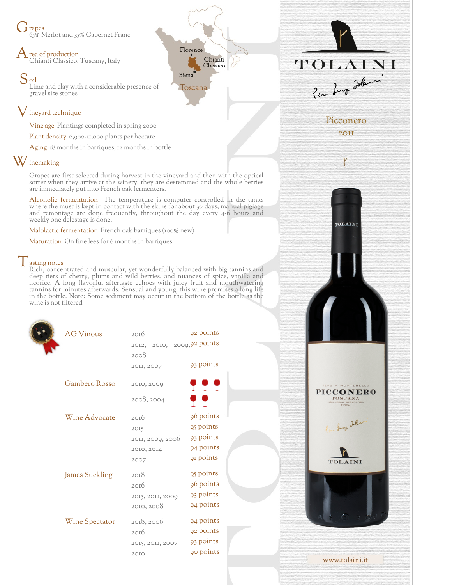$\dot{J}$  rapes 65% Merlot and 35% Cabernet Franc

 $\bigwedge$  rea of production Chianti Classico, Tuscany, Italy

S<sub>oil</sub> Lime and clay with a considerable presence of gravel size stones

## Vineyard technique

Vine age Plantings completed in spring 2000

Plant density 6,900-11,000 plants per hectare

Aging 18 months in barriques, 12 months in bottle

## W inemaking

Grapes are first selected during harvest in the vineyard and then with the optical sorter when they arrive at the winery; they are destemmed and the whole berries are immediately put into French oak fermenters.

Alcoholic fermentation The temperature is computer controlled in the tanks where the must is kept in contact with the skins for about 30 days; manual pigiage and remontage are done frequently, throughout the day every 4-6 hours and weekly one delestage is done.

Malolactic fermentation French oak barriques (100% new)

Maturation On fine lees for 6 months in barriques

Tasting notes Rich, concentrated and muscular, yet wonderfully balanced with big tannins and deep tiers of cherry, plums and wild berries, and nuances of spice, vanilla and licorice. A long flavorful aftertaste echoes with juicy fruit and mouthwatering tannins for minutes afterwards. Sensual and young, this wine promises a long life in the bottle. Note: Some sediment may occur in the bottom of the bottle as the wine is not filtered

| <b>AG Vinous</b>      | 20I6                       | 92 points  |  |
|-----------------------|----------------------------|------------|--|
|                       | 2012, 2010, 2009,92 points |            |  |
|                       | 2008                       |            |  |
|                       | 20II, 2007                 | 93 points  |  |
| Gambero Rosso         | 2010, 2009                 | <b>PPP</b> |  |
|                       |                            |            |  |
|                       | 2008, 2004                 | o o        |  |
| Wine Advocate         | 20I6                       | 96 points  |  |
|                       | 2015                       | 95 points  |  |
|                       | 2011, 2009, 2006           | 93 points  |  |
|                       | 2010, 2014                 | 94 points  |  |
|                       | 2007                       | 91 points  |  |
| <b>James Suckling</b> | 20I8                       | 95 points  |  |
|                       | 20I6                       | 96 points  |  |
|                       | 2015, 2011, 2000           | 93 points  |  |
|                       | 2010, 2008                 | 94 points  |  |
| Wine Spectator        | 2018, 2006                 | 94 points  |  |
|                       | 20I6                       | 92 points  |  |
|                       | 2015, 2011, 2007           | 93 points  |  |
|                       | 20I0                       | 90 points  |  |
|                       |                            |            |  |





Picconero 2011

TOLAINI

**PICCONERO** TOSCANA

TOLAINI

www.tolaini.it